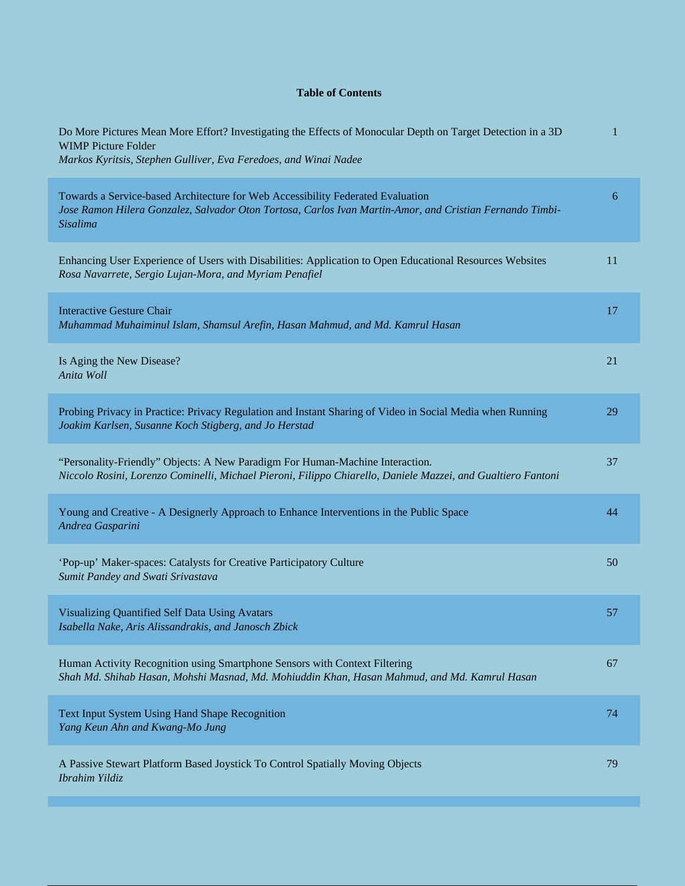## **Table of Contents**

| Do More Pictures Mean More Effort? Investigating the Effects of Monocular Depth on Target Detection in a 3D<br><b>WIMP Picture Folder</b><br>Markos Kyritsis, Stephen Gulliver, Eva Feredoes, and Winai Nadee | $\mathbf{1}$ |
|---------------------------------------------------------------------------------------------------------------------------------------------------------------------------------------------------------------|--------------|
| Towards a Service-based Architecture for Web Accessibility Federated Evaluation<br>Jose Ramon Hilera Gonzalez, Salvador Oton Tortosa, Carlos Ivan Martin-Amor, and Cristian Fernando Timbi-<br>Sisalima       | 6            |
| Enhancing User Experience of Users with Disabilities: Application to Open Educational Resources Websites<br>Rosa Navarrete, Sergio Lujan-Mora, and Myriam Penafiel                                            | 11           |
| <b>Interactive Gesture Chair</b><br>Muhammad Muhaiminul Islam, Shamsul Arefin, Hasan Mahmud, and Md. Kamrul Hasan                                                                                             | 17           |
| Is Aging the New Disease?<br>Anita Woll                                                                                                                                                                       | 21           |
| Probing Privacy in Practice: Privacy Regulation and Instant Sharing of Video in Social Media when Running<br>Joakim Karlsen, Susanne Koch Stigberg, and Jo Herstad                                            | 29           |
| "Personality-Friendly" Objects: A New Paradigm For Human-Machine Interaction.<br>Niccolo Rosini, Lorenzo Cominelli, Michael Pieroni, Filippo Chiarello, Daniele Mazzei, and Gualtiero Fantoni                 | 37           |
| Young and Creative - A Designerly Approach to Enhance Interventions in the Public Space<br>Andrea Gasparini                                                                                                   | 44           |
| 'Pop-up' Maker-spaces: Catalysts for Creative Participatory Culture<br>Sumit Pandey and Swati Srivastava                                                                                                      | 50           |
| Visualizing Quantified Self Data Using Avatars<br>Isabella Nake, Aris Alissandrakis, and Janosch Zbick                                                                                                        | 57           |
| Human Activity Recognition using Smartphone Sensors with Context Filtering<br>Shah Md. Shihab Hasan, Mohshi Masnad, Md. Mohiuddin Khan, Hasan Mahmud, and Md. Kamrul Hasan                                    | 67           |
| Text Input System Using Hand Shape Recognition<br>Yang Keun Ahn and Kwang-Mo Jung                                                                                                                             | 74           |
| A Passive Stewart Platform Based Joystick To Control Spatially Moving Objects<br>Ibrahim Yildiz                                                                                                               | 79           |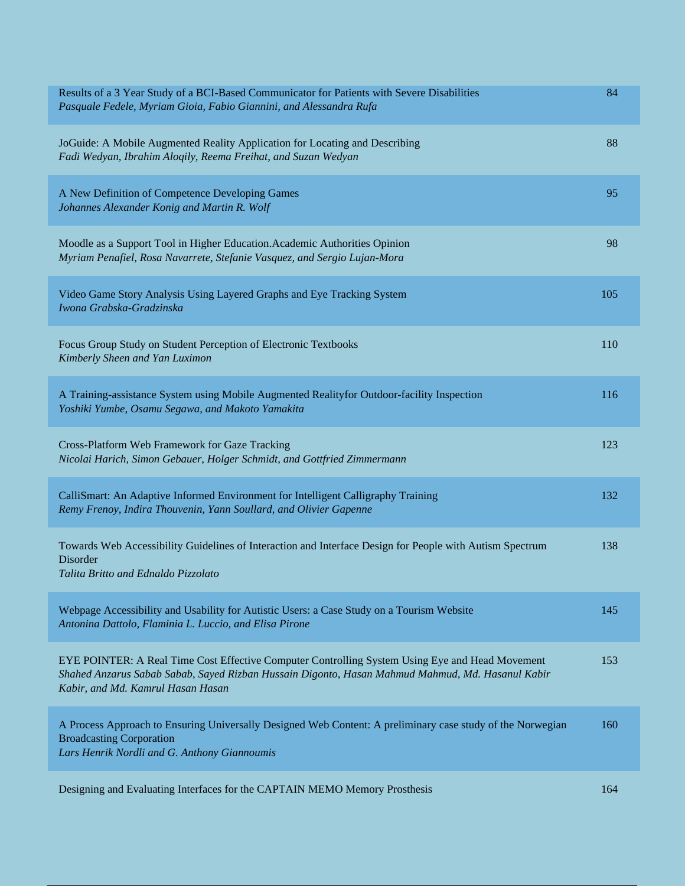| Results of a 3 Year Study of a BCI-Based Communicator for Patients with Severe Disabilities<br>Pasquale Fedele, Myriam Gioia, Fabio Giannini, and Alessandra Rufa                                                                        | 84  |
|------------------------------------------------------------------------------------------------------------------------------------------------------------------------------------------------------------------------------------------|-----|
| JoGuide: A Mobile Augmented Reality Application for Locating and Describing<br>Fadi Wedyan, Ibrahim Aloqily, Reema Freihat, and Suzan Wedyan                                                                                             | 88  |
| A New Definition of Competence Developing Games<br>Johannes Alexander Konig and Martin R. Wolf                                                                                                                                           | 95  |
| Moodle as a Support Tool in Higher Education. Academic Authorities Opinion<br>Myriam Penafiel, Rosa Navarrete, Stefanie Vasquez, and Sergio Lujan-Mora                                                                                   | 98  |
| Video Game Story Analysis Using Layered Graphs and Eye Tracking System<br>Iwona Grabska-Gradzinska                                                                                                                                       | 105 |
| Focus Group Study on Student Perception of Electronic Textbooks<br>Kimberly Sheen and Yan Luximon                                                                                                                                        | 110 |
| A Training-assistance System using Mobile Augmented Realityfor Outdoor-facility Inspection<br>Yoshiki Yumbe, Osamu Segawa, and Makoto Yamakita                                                                                           | 116 |
| Cross-Platform Web Framework for Gaze Tracking<br>Nicolai Harich, Simon Gebauer, Holger Schmidt, and Gottfried Zimmermann                                                                                                                | 123 |
| CalliSmart: An Adaptive Informed Environment for Intelligent Calligraphy Training<br>Remy Frenoy, Indira Thouvenin, Yann Soullard, and Olivier Gapenne                                                                                   | 132 |
| Towards Web Accessibility Guidelines of Interaction and Interface Design for People with Autism Spectrum<br>Disorder<br>Talita Britto and Ednaldo Pizzolato                                                                              | 138 |
| Webpage Accessibility and Usability for Autistic Users: a Case Study on a Tourism Website<br>Antonina Dattolo, Flaminia L. Luccio, and Elisa Pirone                                                                                      | 145 |
| EYE POINTER: A Real Time Cost Effective Computer Controlling System Using Eye and Head Movement<br>Shahed Anzarus Sabab Sabab, Sayed Rizban Hussain Digonto, Hasan Mahmud Mahmud, Md. Hasanul Kabir<br>Kabir, and Md. Kamrul Hasan Hasan | 153 |
| A Process Approach to Ensuring Universally Designed Web Content: A preliminary case study of the Norwegian<br><b>Broadcasting Corporation</b><br>Lars Henrik Nordli and G. Anthony Giannoumis                                            | 160 |
| Designing and Evaluating Interfaces for the CAPTAIN MEMO Memory Prosthesis                                                                                                                                                               | 164 |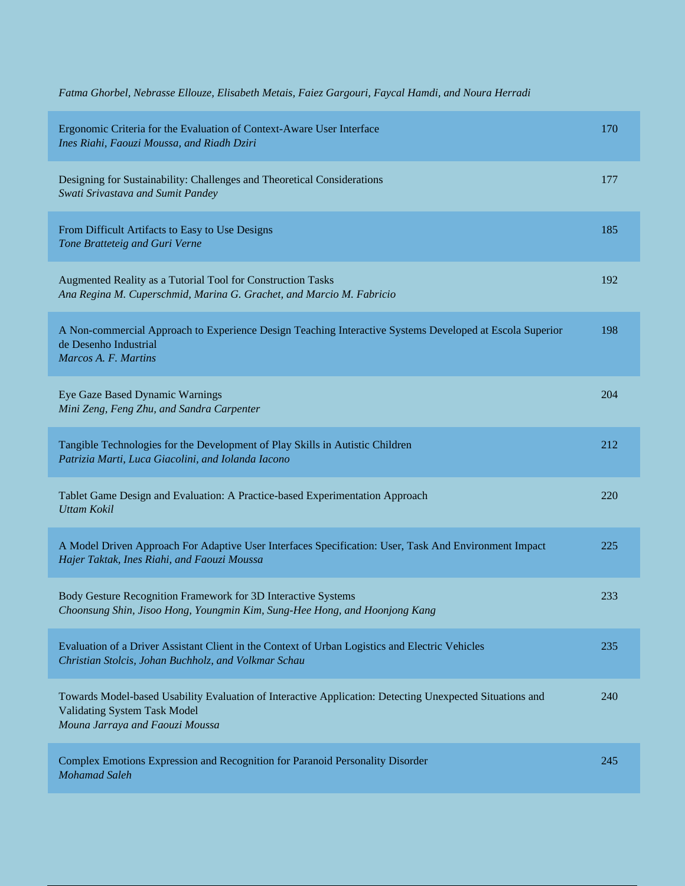| Fatma Ghorbel, Nebrasse Ellouze, Elisabeth Metais, Faiez Gargouri, Faycal Hamdi, and Noura Herradi |  |  |
|----------------------------------------------------------------------------------------------------|--|--|
|----------------------------------------------------------------------------------------------------|--|--|

| Ergonomic Criteria for the Evaluation of Context-Aware User Interface<br>Ines Riahi, Faouzi Moussa, and Riadh Dziri                                                                | 170 |
|------------------------------------------------------------------------------------------------------------------------------------------------------------------------------------|-----|
| Designing for Sustainability: Challenges and Theoretical Considerations<br>Swati Srivastava and Sumit Pandey                                                                       | 177 |
| From Difficult Artifacts to Easy to Use Designs<br>Tone Bratteteig and Guri Verne                                                                                                  | 185 |
| Augmented Reality as a Tutorial Tool for Construction Tasks<br>Ana Regina M. Cuperschmid, Marina G. Grachet, and Marcio M. Fabricio                                                | 192 |
| A Non-commercial Approach to Experience Design Teaching Interactive Systems Developed at Escola Superior<br>de Desenho Industrial<br>Marcos A. F. Martins                          | 198 |
| Eye Gaze Based Dynamic Warnings<br>Mini Zeng, Feng Zhu, and Sandra Carpenter                                                                                                       | 204 |
| Tangible Technologies for the Development of Play Skills in Autistic Children<br>Patrizia Marti, Luca Giacolini, and Iolanda Iacono                                                | 212 |
| Tablet Game Design and Evaluation: A Practice-based Experimentation Approach<br><b>Uttam Kokil</b>                                                                                 | 220 |
| A Model Driven Approach For Adaptive User Interfaces Specification: User, Task And Environment Impact<br>Hajer Taktak, Ines Riahi, and Faouzi Moussa                               | 225 |
| Body Gesture Recognition Framework for 3D Interactive Systems<br>Choonsung Shin, Jisoo Hong, Youngmin Kim, Sung-Hee Hong, and Hoonjong Kang                                        | 233 |
| Evaluation of a Driver Assistant Client in the Context of Urban Logistics and Electric Vehicles<br>Christian Stolcis, Johan Buchholz, and Volkmar Schau                            | 235 |
| Towards Model-based Usability Evaluation of Interactive Application: Detecting Unexpected Situations and<br><b>Validating System Task Model</b><br>Mouna Jarraya and Faouzi Moussa | 240 |
| Complex Emotions Expression and Recognition for Paranoid Personality Disorder<br><b>Mohamad Saleh</b>                                                                              | 245 |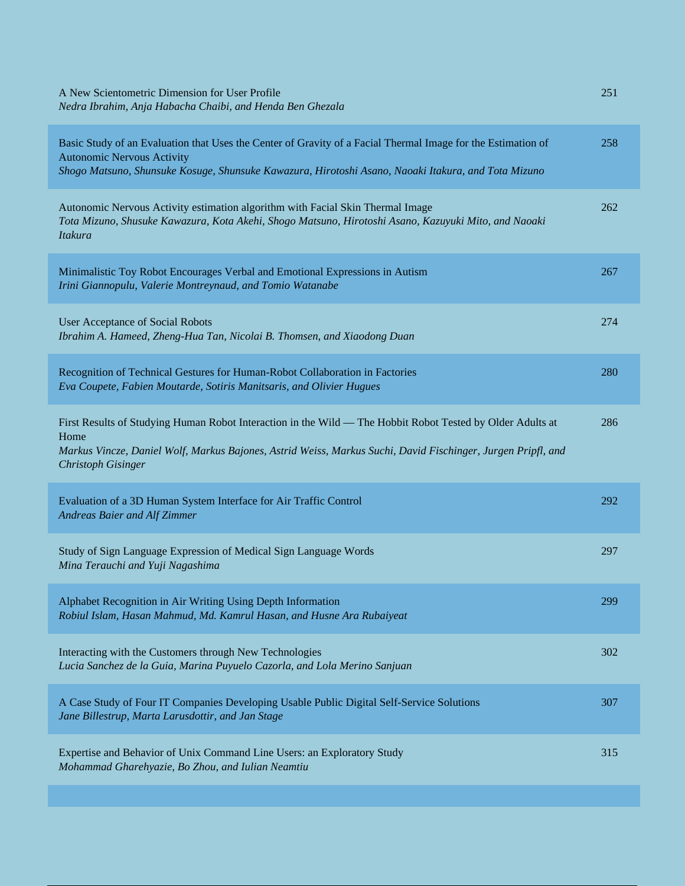| A New Scientometric Dimension for User Profile<br>Nedra Ibrahim, Anja Habacha Chaibi, and Henda Ben Ghezala                                                                                                                                                     | 251 |
|-----------------------------------------------------------------------------------------------------------------------------------------------------------------------------------------------------------------------------------------------------------------|-----|
| Basic Study of an Evaluation that Uses the Center of Gravity of a Facial Thermal Image for the Estimation of<br><b>Autonomic Nervous Activity</b><br>Shogo Matsuno, Shunsuke Kosuge, Shunsuke Kawazura, Hirotoshi Asano, Naoaki Itakura, and Tota Mizuno        | 258 |
| Autonomic Nervous Activity estimation algorithm with Facial Skin Thermal Image<br>Tota Mizuno, Shusuke Kawazura, Kota Akehi, Shogo Matsuno, Hirotoshi Asano, Kazuyuki Mito, and Naoaki<br><b>Itakura</b>                                                        | 262 |
| Minimalistic Toy Robot Encourages Verbal and Emotional Expressions in Autism<br>Irini Giannopulu, Valerie Montreynaud, and Tomio Watanabe                                                                                                                       | 267 |
| <b>User Acceptance of Social Robots</b><br>Ibrahim A. Hameed, Zheng-Hua Tan, Nicolai B. Thomsen, and Xiaodong Duan                                                                                                                                              | 274 |
| Recognition of Technical Gestures for Human-Robot Collaboration in Factories<br>Eva Coupete, Fabien Moutarde, Sotiris Manitsaris, and Olivier Hugues                                                                                                            | 280 |
| First Results of Studying Human Robot Interaction in the Wild — The Hobbit Robot Tested by Older Adults at<br>Home<br>Markus Vincze, Daniel Wolf, Markus Bajones, Astrid Weiss, Markus Suchi, David Fischinger, Jurgen Pripfl, and<br><b>Christoph Gisinger</b> | 286 |
| Evaluation of a 3D Human System Interface for Air Traffic Control<br>Andreas Baier and Alf Zimmer                                                                                                                                                               | 292 |
| Study of Sign Language Expression of Medical Sign Language Words<br>Mina Terauchi and Yuji Nagashima                                                                                                                                                            | 297 |
| Alphabet Recognition in Air Writing Using Depth Information<br>Robiul Islam, Hasan Mahmud, Md. Kamrul Hasan, and Husne Ara Rubaiyeat                                                                                                                            | 299 |
| Interacting with the Customers through New Technologies<br>Lucia Sanchez de la Guia, Marina Puyuelo Cazorla, and Lola Merino Sanjuan                                                                                                                            | 302 |
| A Case Study of Four IT Companies Developing Usable Public Digital Self-Service Solutions<br>Jane Billestrup, Marta Larusdottir, and Jan Stage                                                                                                                  | 307 |
| Expertise and Behavior of Unix Command Line Users: an Exploratory Study<br>Mohammad Gharehyazie, Bo Zhou, and Iulian Neamtiu                                                                                                                                    | 315 |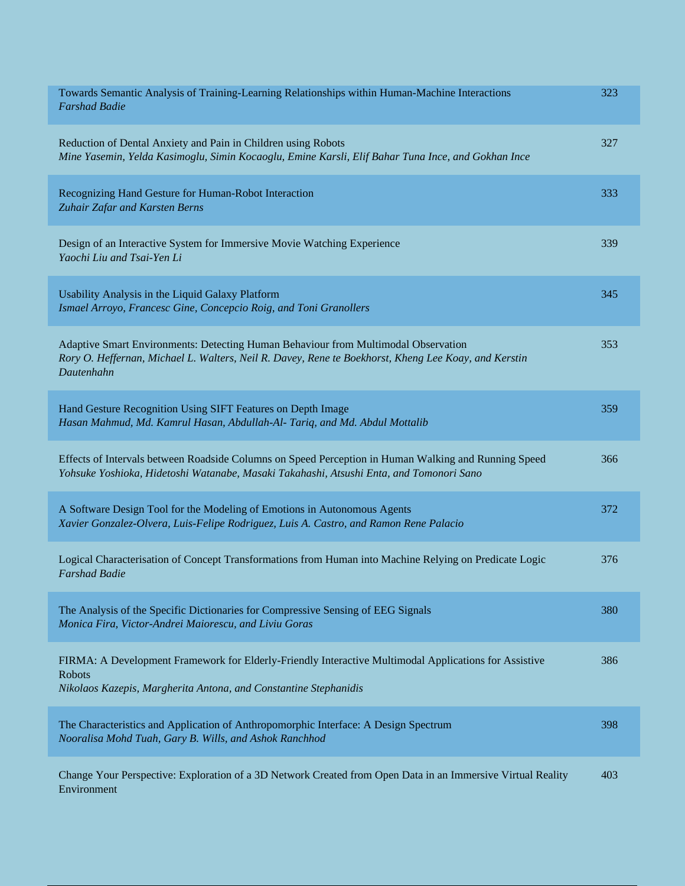| Towards Semantic Analysis of Training-Learning Relationships within Human-Machine Interactions<br><b>Farshad Badie</b>                                                                                   | 323 |
|----------------------------------------------------------------------------------------------------------------------------------------------------------------------------------------------------------|-----|
| Reduction of Dental Anxiety and Pain in Children using Robots<br>Mine Yasemin, Yelda Kasimoglu, Simin Kocaoglu, Emine Karsli, Elif Bahar Tuna Ince, and Gokhan Ince                                      | 327 |
| Recognizing Hand Gesture for Human-Robot Interaction<br>Zuhair Zafar and Karsten Berns                                                                                                                   | 333 |
| Design of an Interactive System for Immersive Movie Watching Experience<br>Yaochi Liu and Tsai-Yen Li                                                                                                    | 339 |
| Usability Analysis in the Liquid Galaxy Platform<br>Ismael Arroyo, Francesc Gine, Concepcio Roig, and Toni Granollers                                                                                    | 345 |
| Adaptive Smart Environments: Detecting Human Behaviour from Multimodal Observation<br>Rory O. Heffernan, Michael L. Walters, Neil R. Davey, Rene te Boekhorst, Kheng Lee Koay, and Kerstin<br>Dautenhahn | 353 |
| Hand Gesture Recognition Using SIFT Features on Depth Image<br>Hasan Mahmud, Md. Kamrul Hasan, Abdullah-Al- Tariq, and Md. Abdul Mottalib                                                                | 359 |
| Effects of Intervals between Roadside Columns on Speed Perception in Human Walking and Running Speed<br>Yohsuke Yoshioka, Hidetoshi Watanabe, Masaki Takahashi, Atsushi Enta, and Tomonori Sano          | 366 |
| A Software Design Tool for the Modeling of Emotions in Autonomous Agents<br>Xavier Gonzalez-Olvera, Luis-Felipe Rodriguez, Luis A. Castro, and Ramon Rene Palacio                                        | 372 |
| Logical Characterisation of Concept Transformations from Human into Machine Relying on Predicate Logic<br><b>Farshad Badie</b>                                                                           | 376 |
| The Analysis of the Specific Dictionaries for Compressive Sensing of EEG Signals<br>Monica Fira, Victor-Andrei Maiorescu, and Liviu Goras                                                                | 380 |
| FIRMA: A Development Framework for Elderly-Friendly Interactive Multimodal Applications for Assistive<br><b>Robots</b><br>Nikolaos Kazepis, Margherita Antona, and Constantine Stephanidis               | 386 |
| The Characteristics and Application of Anthropomorphic Interface: A Design Spectrum<br>Nooralisa Mohd Tuah, Gary B. Wills, and Ashok Ranchhod                                                            | 398 |
| Change Your Perspective: Exploration of a 3D Network Created from Open Data in an Immersive Virtual Reality<br>Environment                                                                               | 403 |